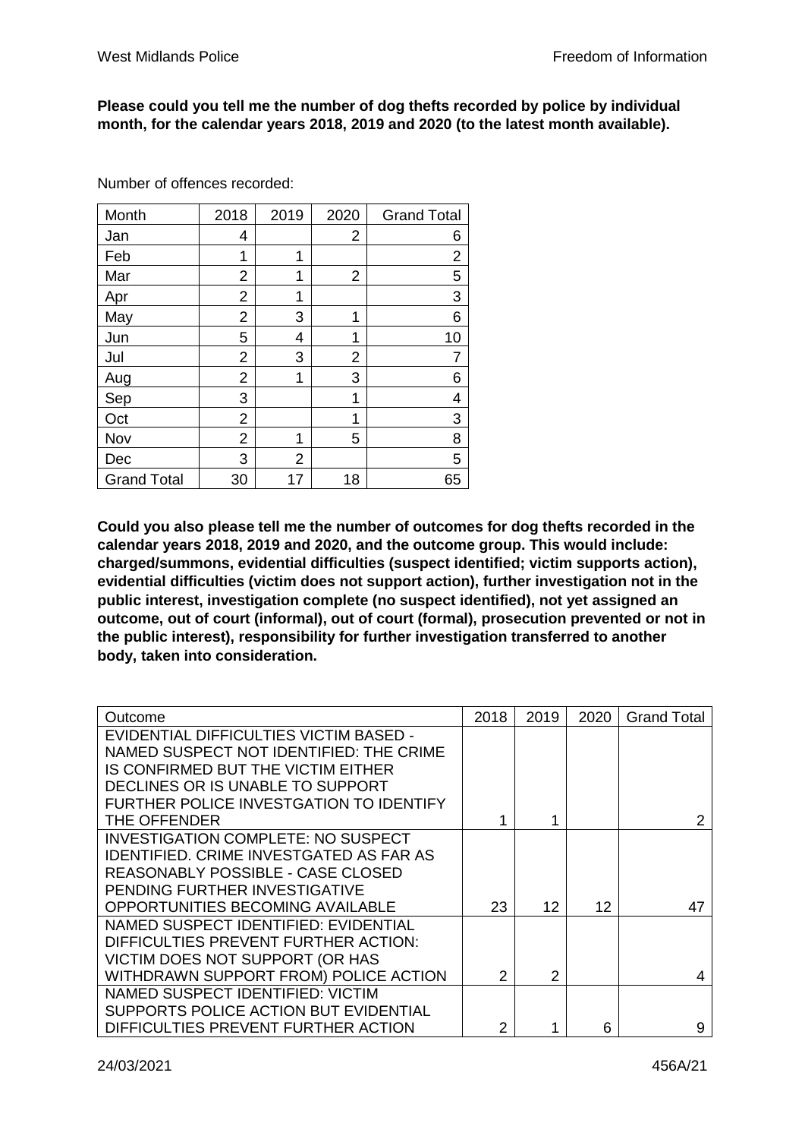## **Please could you tell me the number of dog thefts recorded by police by individual month, for the calendar years 2018, 2019 and 2020 (to the latest month available).**

| Month              | 2018           | 2019 | 2020 | <b>Grand Total</b> |
|--------------------|----------------|------|------|--------------------|
| Jan                | 4              |      | 2    | 6                  |
| Feb                | 1              | 1    |      | 2                  |
| Mar                | 2              | 1    | 2    | 5                  |
| Apr                | $\overline{2}$ | 1    |      | 3                  |
| May                | 2              | 3    | 1    | 6                  |
| Jun                | 5              | 4    | 1    | 10                 |
| Jul                | 2              | 3    | 2    |                    |
| Aug                | 2              | 1    | 3    | 6                  |
| Sep                | 3              |      | 1    | 4                  |
| Oct                | 2              |      | 1    | 3                  |
| Nov                | 2              | 1    | 5    | 8                  |
| Dec                | 3              | 2    |      | 5                  |
| <b>Grand Total</b> | 30             | 17   | 18   | 65                 |

Number of offences recorded:

**Could you also please tell me the number of outcomes for dog thefts recorded in the calendar years 2018, 2019 and 2020, and the outcome group. This would include: charged/summons, evidential difficulties (suspect identified; victim supports action), evidential difficulties (victim does not support action), further investigation not in the public interest, investigation complete (no suspect identified), not yet assigned an outcome, out of court (informal), out of court (formal), prosecution prevented or not in the public interest), responsibility for further investigation transferred to another body, taken into consideration.** 

| Outcome                                        | 2018 | 2019 | 2020 | <b>Grand Total</b> |
|------------------------------------------------|------|------|------|--------------------|
| EVIDENTIAL DIFFICULTIES VICTIM BASED -         |      |      |      |                    |
| NAMED SUSPECT NOT IDENTIFIED: THE CRIME        |      |      |      |                    |
| IS CONFIRMED BUT THE VICTIM EITHER             |      |      |      |                    |
| DECLINES OR IS UNABLE TO SUPPORT               |      |      |      |                    |
| FURTHER POLICE INVESTGATION TO IDENTIFY        |      |      |      |                    |
| THE OFFENDER                                   |      | 4    |      |                    |
| <b>INVESTIGATION COMPLETE: NO SUSPECT</b>      |      |      |      |                    |
| <b>IDENTIFIED, CRIME INVESTGATED AS FAR AS</b> |      |      |      |                    |
| REASONABLY POSSIBLE - CASE CLOSED              |      |      |      |                    |
| PENDING FURTHER INVESTIGATIVE                  |      |      |      |                    |
| <b>OPPORTUNITIES BECOMING AVAILABLE</b>        | 23   | 12   | 12   | 47                 |
| NAMED SUSPECT IDENTIFIED: EVIDENTIAL           |      |      |      |                    |
| DIFFICULTIES PREVENT FURTHER ACTION:           |      |      |      |                    |
| VICTIM DOES NOT SUPPORT (OR HAS                |      |      |      |                    |
| WITHDRAWN SUPPORT FROM) POLICE ACTION          | 2    | 2    |      |                    |
| NAMED SUSPECT IDENTIFIED: VICTIM               |      |      |      |                    |
| SUPPORTS POLICE ACTION BUT EVIDENTIAL          |      |      |      |                    |
| DIFFICULTIES PREVENT FURTHER ACTION            | 2    |      | 6    | 9                  |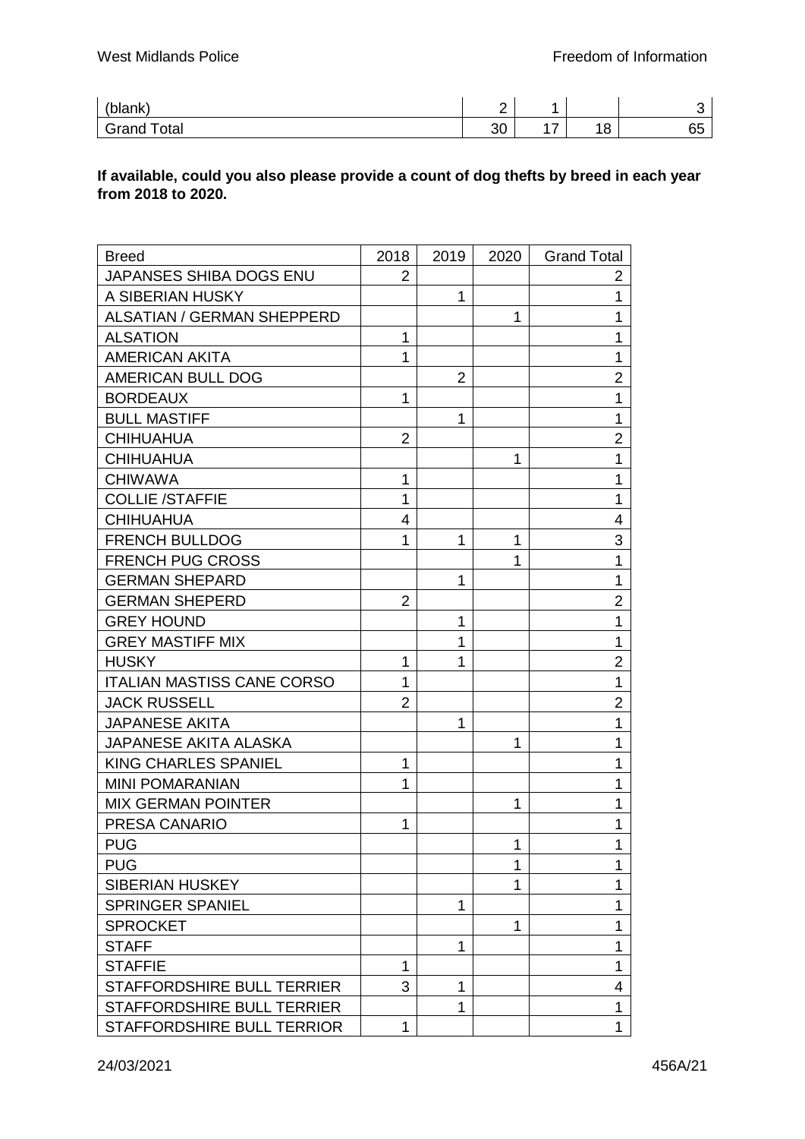| ' '<br>lank`<br>--         | -  |                          |              |          |
|----------------------------|----|--------------------------|--------------|----------|
| Grand<br><sup>-</sup> otal | 30 | $\overline{\phantom{a}}$ | $\sim$<br>ັບ | --<br>v. |

## **If available, could you also please provide a count of dog thefts by breed in each year from 2018 to 2020.**

| <b>Breed</b>                      | 2018           | 2019           | 2020 | <b>Grand Total</b> |
|-----------------------------------|----------------|----------------|------|--------------------|
| JAPANSES SHIBA DOGS ENU           | 2              |                |      | 2                  |
| A SIBERIAN HUSKY                  |                | $\mathbf 1$    |      | 1                  |
| <b>ALSATIAN / GERMAN SHEPPERD</b> |                |                | 1    | 1                  |
| <b>ALSATION</b>                   | 1              |                |      | 1                  |
| <b>AMERICAN AKITA</b>             | 1              |                |      | 1                  |
| AMERICAN BULL DOG                 |                | $\overline{2}$ |      | $\overline{2}$     |
| <b>BORDEAUX</b>                   | $\mathbf 1$    |                |      | 1                  |
| <b>BULL MASTIFF</b>               |                | 1              |      | $\mathbf 1$        |
| <b>CHIHUAHUA</b>                  | $\overline{2}$ |                |      | $\overline{2}$     |
| <b>CHIHUAHUA</b>                  |                |                | 1    | 1                  |
| <b>CHIWAWA</b>                    | 1              |                |      | 1                  |
| <b>COLLIE /STAFFIE</b>            | 1              |                |      | 1                  |
| <b>CHIHUAHUA</b>                  | 4              |                |      | 4                  |
| <b>FRENCH BULLDOG</b>             | 1              | 1              | 1    | 3                  |
| <b>FRENCH PUG CROSS</b>           |                |                | 1    | 1                  |
| <b>GERMAN SHEPARD</b>             |                | 1              |      | $\mathbf 1$        |
| <b>GERMAN SHEPERD</b>             | $\overline{2}$ |                |      | $\overline{2}$     |
| <b>GREY HOUND</b>                 |                | 1              |      | 1                  |
| <b>GREY MASTIFF MIX</b>           |                | 1              |      | 1                  |
| <b>HUSKY</b>                      | 1              | 1              |      | $\overline{2}$     |
| <b>ITALIAN MASTISS CANE CORSO</b> | $\mathbf{1}$   |                |      | 1                  |
| <b>JACK RUSSELL</b>               | $\overline{2}$ |                |      | $\overline{2}$     |
| <b>JAPANESE AKITA</b>             |                | 1              |      | 1                  |
| <b>JAPANESE AKITA ALASKA</b>      |                |                | 1    | 1                  |
| KING CHARLES SPANIEL              | $\mathbf{1}$   |                |      | 1                  |
| <b>MINI POMARANIAN</b>            | 1              |                |      | 1                  |
| <b>MIX GERMAN POINTER</b>         |                |                | 1    | 1                  |
| PRESA CANARIO                     | 1              |                |      | 1                  |
| <b>PUG</b>                        |                |                | 1    | 1                  |
| <b>PUG</b>                        |                |                | 1    | 1                  |
| <b>SIBERIAN HUSKEY</b>            |                |                | 1    | 1                  |
| <b>SPRINGER SPANIEL</b>           |                | 1              |      | 1                  |
| <b>SPROCKET</b>                   |                |                | 1    | 1                  |
| <b>STAFF</b>                      |                | 1              |      | 1                  |
| <b>STAFFIE</b>                    | $\mathbf 1$    |                |      | 1                  |
| STAFFORDSHIRE BULL TERRIER        | 3              | 1              |      | 4                  |
| STAFFORDSHIRE BULL TERRIER        |                | 1              |      | 1                  |
| STAFFORDSHIRE BULL TERRIOR        | 1              |                |      | 1                  |